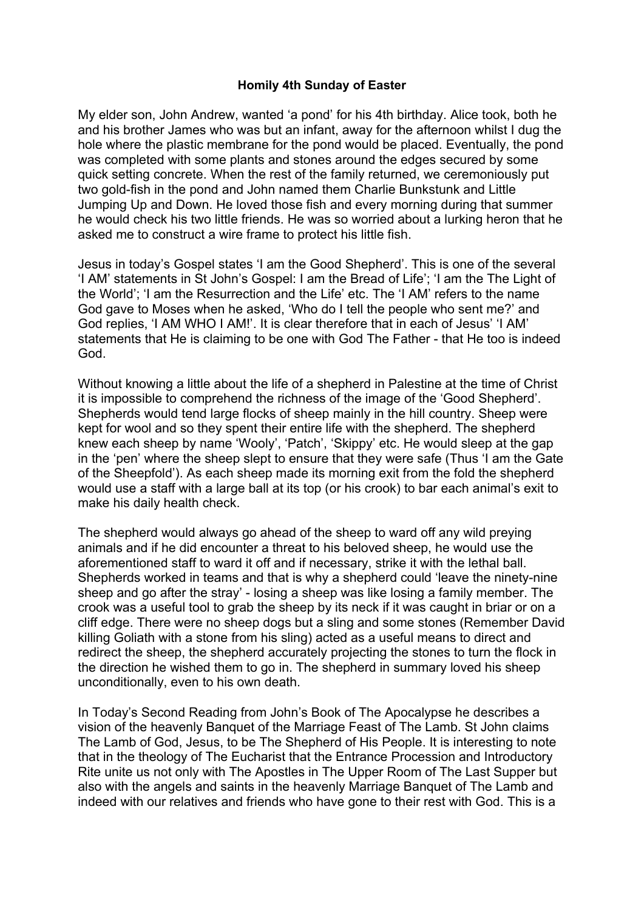## **Homily 4th Sunday of Easter**

My elder son, John Andrew, wanted 'a pond' for his 4th birthday. Alice took, both he and his brother James who was but an infant, away for the afternoon whilst I dug the hole where the plastic membrane for the pond would be placed. Eventually, the pond was completed with some plants and stones around the edges secured by some quick setting concrete. When the rest of the family returned, we ceremoniously put two gold-fish in the pond and John named them Charlie Bunkstunk and Little Jumping Up and Down. He loved those fish and every morning during that summer he would check his two little friends. He was so worried about a lurking heron that he asked me to construct a wire frame to protect his little fish.

Jesus in today's Gospel states 'I am the Good Shepherd'. This is one of the several 'I AM' statements in St John's Gospel: I am the Bread of Life'; 'I am the The Light of the World'; 'I am the Resurrection and the Life' etc. The 'I AM' refers to the name God gave to Moses when he asked, 'Who do I tell the people who sent me?' and God replies, 'I AM WHO I AM!'. It is clear therefore that in each of Jesus' 'I AM' statements that He is claiming to be one with God The Father - that He too is indeed God.

Without knowing a little about the life of a shepherd in Palestine at the time of Christ it is impossible to comprehend the richness of the image of the 'Good Shepherd'. Shepherds would tend large flocks of sheep mainly in the hill country. Sheep were kept for wool and so they spent their entire life with the shepherd. The shepherd knew each sheep by name 'Wooly', 'Patch', 'Skippy' etc. He would sleep at the gap in the 'pen' where the sheep slept to ensure that they were safe (Thus 'I am the Gate of the Sheepfold'). As each sheep made its morning exit from the fold the shepherd would use a staff with a large ball at its top (or his crook) to bar each animal's exit to make his daily health check.

The shepherd would always go ahead of the sheep to ward off any wild preying animals and if he did encounter a threat to his beloved sheep, he would use the aforementioned staff to ward it off and if necessary, strike it with the lethal ball. Shepherds worked in teams and that is why a shepherd could 'leave the ninety-nine sheep and go after the stray' - losing a sheep was like losing a family member. The crook was a useful tool to grab the sheep by its neck if it was caught in briar or on a cliff edge. There were no sheep dogs but a sling and some stones (Remember David killing Goliath with a stone from his sling) acted as a useful means to direct and redirect the sheep, the shepherd accurately projecting the stones to turn the flock in the direction he wished them to go in. The shepherd in summary loved his sheep unconditionally, even to his own death.

In Today's Second Reading from John's Book of The Apocalypse he describes a vision of the heavenly Banquet of the Marriage Feast of The Lamb. St John claims The Lamb of God, Jesus, to be The Shepherd of His People. It is interesting to note that in the theology of The Eucharist that the Entrance Procession and Introductory Rite unite us not only with The Apostles in The Upper Room of The Last Supper but also with the angels and saints in the heavenly Marriage Banquet of The Lamb and indeed with our relatives and friends who have gone to their rest with God. This is a